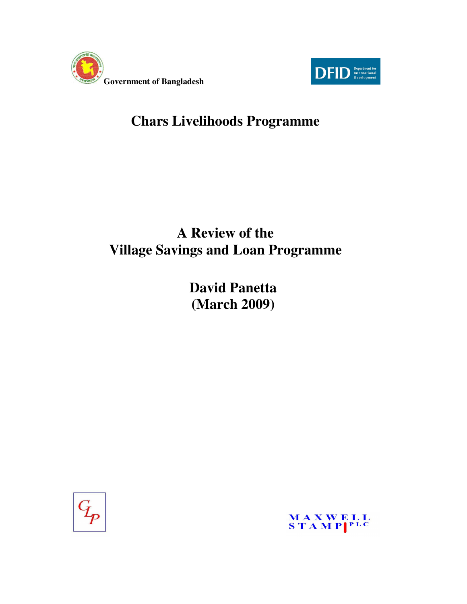



# **Chars Livelihoods Programme**

# **A Review of the Village Savings and Loan Programme**

**David Panetta (March 2009)** 



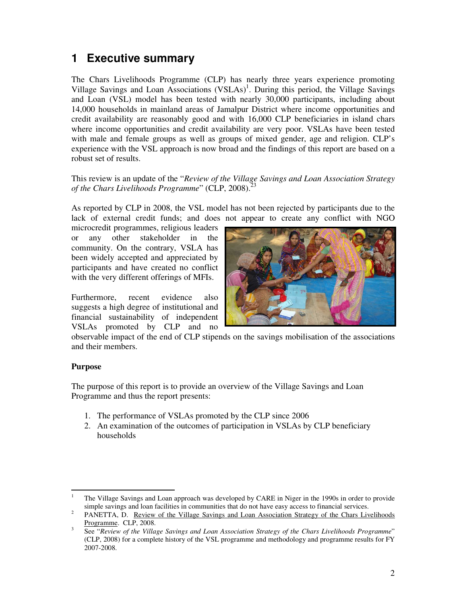# **1 Executive summary**

The Chars Livelihoods Programme (CLP) has nearly three years experience promoting Village Savings and Loan Associations (VSLAs)<sup>1</sup>. During this period, the Village Savings and Loan (VSL) model has been tested with nearly 30,000 participants, including about 14,000 households in mainland areas of Jamalpur District where income opportunities and credit availability are reasonably good and with 16,000 CLP beneficiaries in island chars where income opportunities and credit availability are very poor. VSLAs have been tested with male and female groups as well as groups of mixed gender, age and religion. CLP's experience with the VSL approach is now broad and the findings of this report are based on a robust set of results.

This review is an update of the "*Review of the Village Savings and Loan Association Strategy*  of the Chars Livelihoods Programme" (CLP, 2008).<sup>2</sup>

As reported by CLP in 2008, the VSL model has not been rejected by participants due to the lack of external credit funds; and does not appear to create any conflict with NGO

microcredit programmes, religious leaders or any other stakeholder in the community. On the contrary, VSLA has been widely accepted and appreciated by participants and have created no conflict with the very different offerings of MFIs.

Furthermore, recent evidence also suggests a high degree of institutional and financial sustainability of independent VSLAs promoted by CLP and no



observable impact of the end of CLP stipends on the savings mobilisation of the associations and their members.

#### **Purpose**

The purpose of this report is to provide an overview of the Village Savings and Loan Programme and thus the report presents:

- 1. The performance of VSLAs promoted by the CLP since 2006
- 2. An examination of the outcomes of participation in VSLAs by CLP beneficiary households

<sup>|&</sup>lt;br>|<br>| The Village Savings and Loan approach was developed by CARE in Niger in the 1990s in order to provide simple savings and loan facilities in communities that do not have easy access to financial services.

<sup>2</sup> PANETTA, D. Review of the Village Savings and Loan Association Strategy of the Chars Livelihoods Programme. CLP, 2008.

<sup>3</sup> See "*Review of the Village Savings and Loan Association Strategy of the Chars Livelihoods Programme*" (CLP, 2008) for a complete history of the VSL programme and methodology and programme results for FY 2007-2008.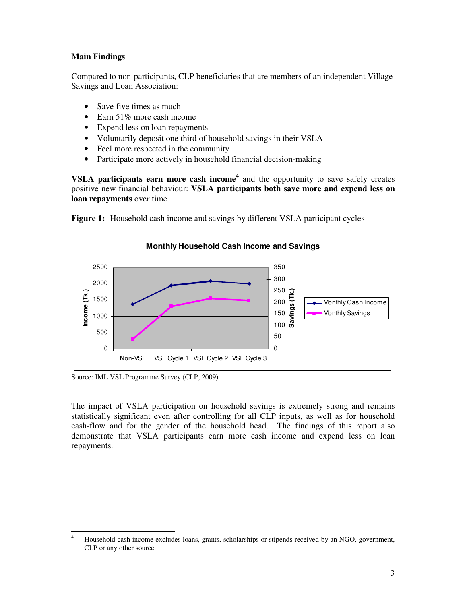#### **Main Findings**

Compared to non-participants, CLP beneficiaries that are members of an independent Village Savings and Loan Association:

- Save five times as much
- Earn 51% more cash income
- Expend less on loan repayments
- Voluntarily deposit one third of household savings in their VSLA
- Feel more respected in the community
- Participate more actively in household financial decision-making

**VSLA participants earn more cash income<sup>4</sup>** and the opportunity to save safely creates positive new financial behaviour: **VSLA participants both save more and expend less on loan repayments** over time.



**Figure 1:** Household cash income and savings by different VSLA participant cycles

Source: IML VSL Programme Survey (CLP, 2009)

The impact of VSLA participation on household savings is extremely strong and remains statistically significant even after controlling for all CLP inputs, as well as for household cash-flow and for the gender of the household head. The findings of this report also demonstrate that VSLA participants earn more cash income and expend less on loan repayments.

 $\frac{1}{4}$  Household cash income excludes loans, grants, scholarships or stipends received by an NGO, government, CLP or any other source.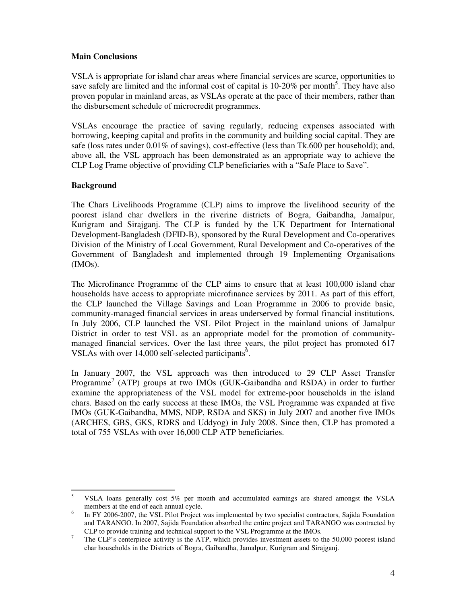#### **Main Conclusions**

VSLA is appropriate for island char areas where financial services are scarce, opportunities to save safely are limited and the informal cost of capital is  $10\n-20\%$  per month<sup>5</sup>. They have also proven popular in mainland areas, as VSLAs operate at the pace of their members, rather than the disbursement schedule of microcredit programmes.

VSLAs encourage the practice of saving regularly, reducing expenses associated with borrowing, keeping capital and profits in the community and building social capital. They are safe (loss rates under 0.01% of savings), cost-effective (less than Tk.600 per household); and, above all, the VSL approach has been demonstrated as an appropriate way to achieve the CLP Log Frame objective of providing CLP beneficiaries with a "Safe Place to Save".

#### **Background**

The Chars Livelihoods Programme (CLP) aims to improve the livelihood security of the poorest island char dwellers in the riverine districts of Bogra, Gaibandha, Jamalpur, Kurigram and Sirajganj. The CLP is funded by the UK Department for International Development-Bangladesh (DFID-B), sponsored by the Rural Development and Co-operatives Division of the Ministry of Local Government, Rural Development and Co-operatives of the Government of Bangladesh and implemented through 19 Implementing Organisations (IMOs).

The Microfinance Programme of the CLP aims to ensure that at least 100,000 island char households have access to appropriate microfinance services by 2011. As part of this effort, the CLP launched the Village Savings and Loan Programme in 2006 to provide basic, community-managed financial services in areas underserved by formal financial institutions. In July 2006, CLP launched the VSL Pilot Project in the mainland unions of Jamalpur District in order to test VSL as an appropriate model for the promotion of communitymanaged financial services. Over the last three years, the pilot project has promoted 617 VSLAs with over 14,000 self-selected participants<sup> $6$ </sup>.

In January 2007, the VSL approach was then introduced to 29 CLP Asset Transfer Programme<sup>7</sup> (ATP) groups at two IMOs (GUK-Gaibandha and RSDA) in order to further examine the appropriateness of the VSL model for extreme-poor households in the island chars. Based on the early success at these IMOs, the VSL Programme was expanded at five IMOs (GUK-Gaibandha, MMS, NDP, RSDA and SKS) in July 2007 and another five IMOs (ARCHES, GBS, GKS, RDRS and Uddyog) in July 2008. Since then, CLP has promoted a total of 755 VSLAs with over 16,000 CLP ATP beneficiaries.

<sup>-&</sup>lt;br>5 VSLA loans generally cost 5% per month and accumulated earnings are shared amongst the VSLA members at the end of each annual cycle.

<sup>6</sup> In FY 2006-2007, the VSL Pilot Project was implemented by two specialist contractors, Sajida Foundation and TARANGO. In 2007, Sajida Foundation absorbed the entire project and TARANGO was contracted by CLP to provide training and technical support to the VSL Programme at the IMOs.

<sup>7</sup> The CLP's centerpiece activity is the ATP, which provides investment assets to the 50,000 poorest island char households in the Districts of Bogra, Gaibandha, Jamalpur, Kurigram and Sirajganj.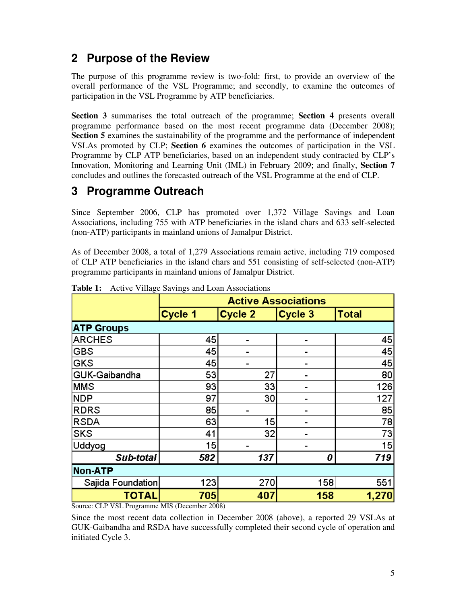# **2 Purpose of the Review**

The purpose of this programme review is two-fold: first, to provide an overview of the overall performance of the VSL Programme; and secondly, to examine the outcomes of participation in the VSL Programme by ATP beneficiaries.

**Section 3** summarises the total outreach of the programme; **Section 4** presents overall programme performance based on the most recent programme data (December 2008); **Section 5** examines the sustainability of the programme and the performance of independent VSLAs promoted by CLP; **Section 6** examines the outcomes of participation in the VSL Programme by CLP ATP beneficiaries, based on an independent study contracted by CLP's Innovation, Monitoring and Learning Unit (IML) in February 2009; and finally, **Section 7** concludes and outlines the forecasted outreach of the VSL Programme at the end of CLP.

# **3 Programme Outreach**

Since September 2006, CLP has promoted over 1,372 Village Savings and Loan Associations, including 755 with ATP beneficiaries in the island chars and 633 self-selected (non-ATP) participants in mainland unions of Jamalpur District.

As of December 2008, a total of 1,279 Associations remain active, including 719 composed of CLP ATP beneficiaries in the island chars and 551 consisting of self-selected (non-ATP) programme participants in mainland unions of Jamalpur District.

|                   | <b>Active Associations</b> |                          |                |              |  |
|-------------------|----------------------------|--------------------------|----------------|--------------|--|
|                   | Cycle 1                    | Cycle 2                  | Cycle 3        | <b>Total</b> |  |
| <b>ATP Groups</b> |                            |                          |                |              |  |
| <b>ARCHES</b>     | 45                         | $\overline{\phantom{0}}$ | $\blacksquare$ | 45           |  |
| <b>GBS</b>        | 45                         |                          |                | 45           |  |
| <b>GKS</b>        | 45                         |                          |                | 45           |  |
| GUK-Gaibandha     | 53                         | 27                       |                | 80           |  |
| <b>MMS</b>        | 93                         | 33                       |                | 126          |  |
| <b>NDP</b>        | 97                         | 30                       |                | 127          |  |
| <b>RDRS</b>       | 85                         |                          |                | 85           |  |
| <b>RSDA</b>       | 63                         | 15                       |                | 78           |  |
| <b>SKS</b>        | 41                         | 32                       |                | 73           |  |
| Uddyog            | 15                         |                          |                | 15           |  |
| Sub-total         | 582                        | 137                      | 0              | 719          |  |
| Non-ATP           |                            |                          |                |              |  |
| Sajida Foundation | 123                        | 270                      | 158            | 551          |  |
| <b>TOTAL</b>      | 705                        | 407                      | 158            | 1,270        |  |

**Table 1:** Active Village Savings and Loan Associations

Source: CLP VSL Programme MIS (December 2008)

Since the most recent data collection in December 2008 (above), a reported 29 VSLAs at GUK-Gaibandha and RSDA have successfully completed their second cycle of operation and initiated Cycle 3.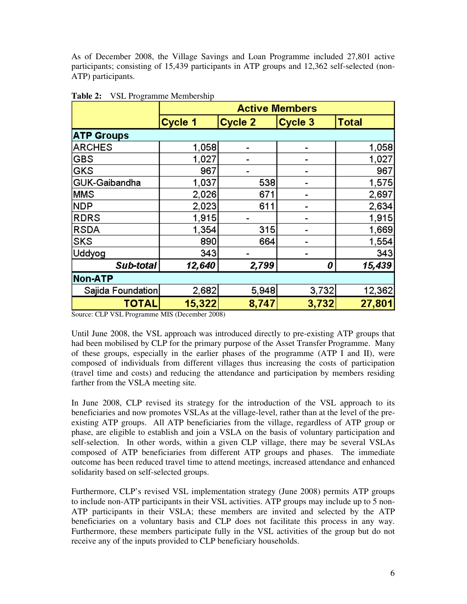As of December 2008, the Village Savings and Loan Programme included 27,801 active participants; consisting of 15,439 participants in ATP groups and 12,362 self-selected (non-ATP) participants.

|                   | <b>Active Members</b> |         |         |              |
|-------------------|-----------------------|---------|---------|--------------|
|                   | Cycle 1               | Cycle 2 | Cycle 3 | <b>Total</b> |
| <b>ATP Groups</b> |                       |         |         |              |
| <b>ARCHES</b>     | 1,058                 |         |         | 1,058        |
| <b>GBS</b>        | 1,027                 |         |         | 1,027        |
| <b>GKS</b>        | 967                   |         |         | 967          |
| GUK-Gaibandha     | 1,037                 | 538     |         | 1,575        |
| <b>MMS</b>        | 2,026                 | 671     |         | 2,697        |
| <b>NDP</b>        | 2,023                 | 611     |         | 2,634        |
| <b>RDRS</b>       | 1,915                 |         |         | 1,915        |
| <b>RSDA</b>       | 1,354                 | 315     |         | 1,669        |
| <b>SKS</b>        | 890                   | 664     |         | 1,554        |
| Uddyog            | 343                   |         |         | 343          |
| Sub-total         | 12,640                | 2,799   | 0       | 15,439       |
| Non-ATP           |                       |         |         |              |
| Sajida Foundation | 2,682                 | 5,948   | 3,732   | 12,362       |
| <b>TOTAL</b>      | 15,322                | 8,747   | 3,732   | 27,801       |

**Table 2:** VSL Programme Membership

Source: CLP VSL Programme MIS (December 2008)

Until June 2008, the VSL approach was introduced directly to pre-existing ATP groups that had been mobilised by CLP for the primary purpose of the Asset Transfer Programme. Many of these groups, especially in the earlier phases of the programme (ATP I and II), were composed of individuals from different villages thus increasing the costs of participation (travel time and costs) and reducing the attendance and participation by members residing farther from the VSLA meeting site.

In June 2008, CLP revised its strategy for the introduction of the VSL approach to its beneficiaries and now promotes VSLAs at the village-level, rather than at the level of the preexisting ATP groups. All ATP beneficiaries from the village, regardless of ATP group or phase, are eligible to establish and join a VSLA on the basis of voluntary participation and self-selection. In other words, within a given CLP village, there may be several VSLAs composed of ATP beneficiaries from different ATP groups and phases. The immediate outcome has been reduced travel time to attend meetings, increased attendance and enhanced solidarity based on self-selected groups.

Furthermore, CLP's revised VSL implementation strategy (June 2008) permits ATP groups to include non-ATP participants in their VSL activities. ATP groups may include up to 5 non-ATP participants in their VSLA; these members are invited and selected by the ATP beneficiaries on a voluntary basis and CLP does not facilitate this process in any way. Furthermore, these members participate fully in the VSL activities of the group but do not receive any of the inputs provided to CLP beneficiary households.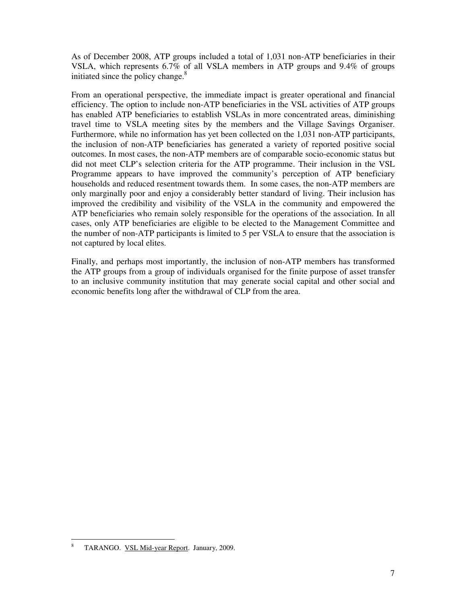As of December 2008, ATP groups included a total of 1,031 non-ATP beneficiaries in their VSLA, which represents 6.7% of all VSLA members in ATP groups and 9.4% of groups initiated since the policy change.<sup>8</sup>

From an operational perspective, the immediate impact is greater operational and financial efficiency. The option to include non-ATP beneficiaries in the VSL activities of ATP groups has enabled ATP beneficiaries to establish VSLAs in more concentrated areas, diminishing travel time to VSLA meeting sites by the members and the Village Savings Organiser. Furthermore, while no information has yet been collected on the 1,031 non-ATP participants, the inclusion of non-ATP beneficiaries has generated a variety of reported positive social outcomes. In most cases, the non-ATP members are of comparable socio-economic status but did not meet CLP's selection criteria for the ATP programme. Their inclusion in the VSL Programme appears to have improved the community's perception of ATP beneficiary households and reduced resentment towards them. In some cases, the non-ATP members are only marginally poor and enjoy a considerably better standard of living. Their inclusion has improved the credibility and visibility of the VSLA in the community and empowered the ATP beneficiaries who remain solely responsible for the operations of the association. In all cases, only ATP beneficiaries are eligible to be elected to the Management Committee and the number of non-ATP participants is limited to 5 per VSLA to ensure that the association is not captured by local elites.

Finally, and perhaps most importantly, the inclusion of non-ATP members has transformed the ATP groups from a group of individuals organised for the finite purpose of asset transfer to an inclusive community institution that may generate social capital and other social and economic benefits long after the withdrawal of CLP from the area.

<sup>-</sup>8 TARANGO. VSL Mid-year Report. January, 2009.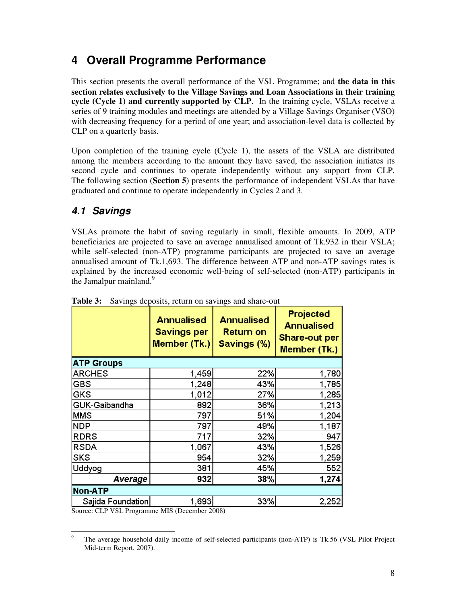# **4 Overall Programme Performance**

This section presents the overall performance of the VSL Programme; and **the data in this section relates exclusively to the Village Savings and Loan Associations in their training cycle (Cycle 1) and currently supported by CLP**. In the training cycle, VSLAs receive a series of 9 training modules and meetings are attended by a Village Savings Organiser (VSO) with decreasing frequency for a period of one year; and association-level data is collected by CLP on a quarterly basis.

Upon completion of the training cycle (Cycle 1), the assets of the VSLA are distributed among the members according to the amount they have saved, the association initiates its second cycle and continues to operate independently without any support from CLP. The following section (**Section 5**) presents the performance of independent VSLAs that have graduated and continue to operate independently in Cycles 2 and 3.

### **4.1 Savings**

VSLAs promote the habit of saving regularly in small, flexible amounts. In 2009, ATP beneficiaries are projected to save an average annualised amount of Tk.932 in their VSLA; while self-selected (non-ATP) programme participants are projected to save an average annualised amount of Tk.1,693. The difference between ATP and non-ATP savings rates is explained by the increased economic well-being of self-selected (non-ATP) participants in the Jamalpur mainland.<sup>9</sup>

| Return on<br>Savings (%) | Projected<br><b>Annualised</b><br><b>Share-out per</b><br>Member (Tk.) |  |  |  |  |
|--------------------------|------------------------------------------------------------------------|--|--|--|--|
|                          |                                                                        |  |  |  |  |
| 22%                      | 1,780                                                                  |  |  |  |  |
| 43%                      | 1,785                                                                  |  |  |  |  |
| 27%                      | 1,285                                                                  |  |  |  |  |
| 36%                      | 1,213                                                                  |  |  |  |  |
| 51%                      | 1,204                                                                  |  |  |  |  |
| 49%                      | 1,187                                                                  |  |  |  |  |
| 32%                      | 947                                                                    |  |  |  |  |
| 43%                      | 1,526                                                                  |  |  |  |  |
| 32%                      | 1,259                                                                  |  |  |  |  |
| 45%                      | 552                                                                    |  |  |  |  |
| 38%                      | 1,274                                                                  |  |  |  |  |
| Non-ATP                  |                                                                        |  |  |  |  |
| 33%                      | 2,252                                                                  |  |  |  |  |
|                          | <b>Annualised</b>                                                      |  |  |  |  |

|  | Table 3: Savings deposits, return on savings and share-out |  |  |
|--|------------------------------------------------------------|--|--|
|--|------------------------------------------------------------|--|--|

Source: CLP VSL Programme MIS (December 2008)

<sup>-&</sup>lt;br>9 The average household daily income of self-selected participants (non-ATP) is Tk.56 (VSL Pilot Project Mid-term Report, 2007).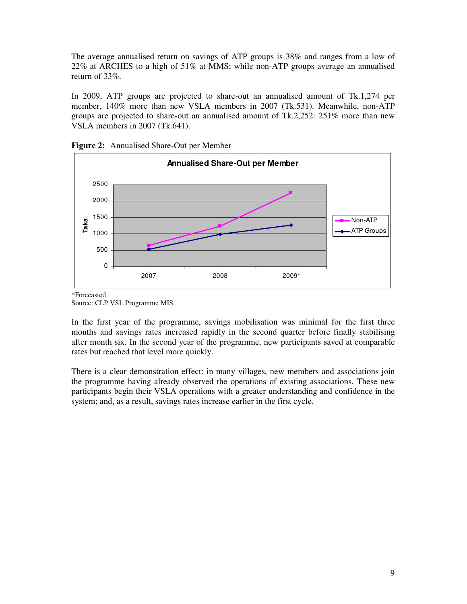The average annualised return on savings of ATP groups is 38% and ranges from a low of 22% at ARCHES to a high of 51% at MMS; while non-ATP groups average an annualised return of 33%.

In 2009, ATP groups are projected to share-out an annualised amount of Tk.1,274 per member, 140% more than new VSLA members in 2007 (Tk.531). Meanwhile, non-ATP groups are projected to share-out an annualised amount of Tk.2,252: 251% more than new VSLA members in 2007 (Tk.641).





\*Forecasted Source: CLP VSL Programme MIS

In the first year of the programme, savings mobilisation was minimal for the first three months and savings rates increased rapidly in the second quarter before finally stabilising after month six. In the second year of the programme, new participants saved at comparable rates but reached that level more quickly.

There is a clear demonstration effect: in many villages, new members and associations join the programme having already observed the operations of existing associations. These new participants begin their VSLA operations with a greater understanding and confidence in the system; and, as a result, savings rates increase earlier in the first cycle.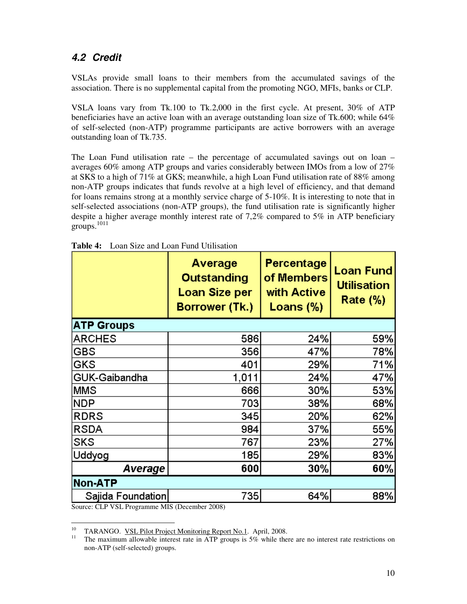#### **4.2 Credit**

VSLAs provide small loans to their members from the accumulated savings of the association. There is no supplemental capital from the promoting NGO, MFIs, banks or CLP.

VSLA loans vary from Tk.100 to Tk.2,000 in the first cycle. At present, 30% of ATP beneficiaries have an active loan with an average outstanding loan size of Tk.600; while 64% of self-selected (non-ATP) programme participants are active borrowers with an average outstanding loan of Tk.735.

The Loan Fund utilisation rate – the percentage of accumulated savings out on loan – averages 60% among ATP groups and varies considerably between IMOs from a low of 27% at SKS to a high of 71% at GKS; meanwhile, a high Loan Fund utilisation rate of 88% among non-ATP groups indicates that funds revolve at a high level of efficiency, and that demand for loans remains strong at a monthly service charge of 5-10%. It is interesting to note that in self-selected associations (non-ATP groups), the fund utilisation rate is significantly higher despite a higher average monthly interest rate of 7,2% compared to 5% in ATP beneficiary groups. $1011$ 

|                   | Average<br><b>Outstanding</b><br><b>Loan Size per</b><br>Borrower (Tk.) | Percentage<br>of Members<br>with Active<br>Loans $(\%)$ | <b>Loan Fund</b><br><b>Utilisation</b><br><b>Rate (%)</b> |  |
|-------------------|-------------------------------------------------------------------------|---------------------------------------------------------|-----------------------------------------------------------|--|
| <b>ATP Groups</b> |                                                                         |                                                         |                                                           |  |
| <b>ARCHES</b>     | 586                                                                     | 24%                                                     | 59%                                                       |  |
| <b>GBS</b>        | 356                                                                     | 47%                                                     | 78%                                                       |  |
| GKS               | 401                                                                     | 29%                                                     | 71%                                                       |  |
| GUK-Gaibandha     | 1,011                                                                   | 24%                                                     | 47%                                                       |  |
| <b>MMS</b>        | 666                                                                     | 30%                                                     | 53%                                                       |  |
| <b>NDP</b>        | 703                                                                     | 38%                                                     | 68%                                                       |  |
| <b>RDRS</b>       | 345                                                                     | 20%                                                     | 62%                                                       |  |
| <b>RSDA</b>       | 984                                                                     | 37%                                                     | 55%                                                       |  |
| <b>SKS</b>        | 767                                                                     | 23%                                                     | 27%                                                       |  |
| Uddyog            | 185                                                                     | 29%                                                     | 83%                                                       |  |
| Average           | 600                                                                     | 30%                                                     | 60%                                                       |  |
| <b>Non-ATP</b>    |                                                                         |                                                         |                                                           |  |
| Sajida Foundation | 735                                                                     | 64%                                                     | 88%                                                       |  |

|  | <b>Table 4:</b> Loan Size and Loan Fund Utilisation |
|--|-----------------------------------------------------|
|--|-----------------------------------------------------|

Source: CLP VSL Programme MIS (December 2008)

 $10<sup>10</sup>$ <sup>10</sup> TARANGO. <u>VSL Pilot Project Monitoring Report No.1</u>. April, 2008.

<sup>11</sup> The maximum allowable interest rate in ATP groups is 5% while there are no interest rate restrictions on non-ATP (self-selected) groups.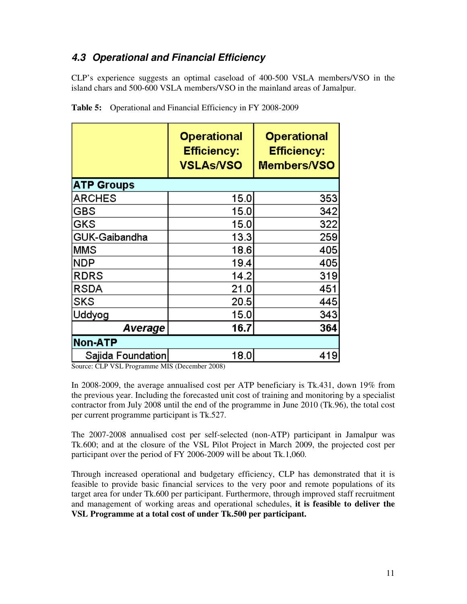### **4.3 Operational and Financial Efficiency**

CLP's experience suggests an optimal caseload of 400-500 VSLA members/VSO in the island chars and 500-600 VSLA members/VSO in the mainland areas of Jamalpur.

|                   | <b>Operational</b><br><b>Efficiency:</b><br><b>VSLAs/VSO</b> | <b>Operational</b><br><b>Efficiency:</b><br>Members/VSO |
|-------------------|--------------------------------------------------------------|---------------------------------------------------------|
| <b>ATP Groups</b> |                                                              |                                                         |
| <b>ARCHES</b>     | 15.0                                                         | 353                                                     |
| GBS               | 15.0                                                         | 342                                                     |
| GKS               | 15.0                                                         | 322                                                     |
| GUK-Gaibandha     | 13.3                                                         | 259                                                     |
| <b>MMS</b>        | 18.6                                                         | 405                                                     |
| NDP               | 19.4                                                         | 405                                                     |
| <b>RDRS</b>       | 14.2                                                         | 319                                                     |
| <b>RSDA</b>       | 21.0                                                         | 451                                                     |
| SKS               | 20.5                                                         | 445                                                     |
| Uddyog            | 15.0                                                         | 343                                                     |
| Average           | 16.7                                                         | 364                                                     |
| <b>Non-ATP</b>    |                                                              |                                                         |
| Sajida Foundation | 18.0                                                         | 419                                                     |

| Table 5: Operational and Financial Efficiency in FY 2008-2009 |  |
|---------------------------------------------------------------|--|
|                                                               |  |

Source: CLP VSL Programme MIS (December 2008)

In 2008-2009, the average annualised cost per ATP beneficiary is Tk.431, down 19% from the previous year. Including the forecasted unit cost of training and monitoring by a specialist contractor from July 2008 until the end of the programme in June 2010 (Tk.96), the total cost per current programme participant is Tk.527.

The 2007-2008 annualised cost per self-selected (non-ATP) participant in Jamalpur was Tk.600; and at the closure of the VSL Pilot Project in March 2009, the projected cost per participant over the period of FY 2006-2009 will be about Tk.1,060.

Through increased operational and budgetary efficiency, CLP has demonstrated that it is feasible to provide basic financial services to the very poor and remote populations of its target area for under Tk.600 per participant. Furthermore, through improved staff recruitment and management of working areas and operational schedules, **it is feasible to deliver the VSL Programme at a total cost of under Tk.500 per participant.**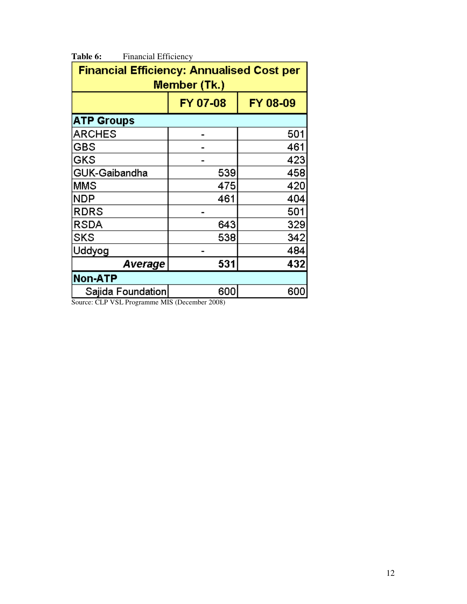| <b>Financial Efficiency: Annualised Cost per</b> |     |     |  |  |  |
|--------------------------------------------------|-----|-----|--|--|--|
| Member (Tk.)                                     |     |     |  |  |  |
| FY 07-08<br>FY 08-09                             |     |     |  |  |  |
| <b>ATP Groups</b>                                |     |     |  |  |  |
| <b>ARCHES</b>                                    |     | 501 |  |  |  |
| GBS                                              |     | 461 |  |  |  |
| GKS                                              |     | 423 |  |  |  |
| GUK-Gaibandha                                    | 539 | 458 |  |  |  |
| MMS                                              | 475 | 420 |  |  |  |
| NDP                                              | 461 | 404 |  |  |  |
| <b>RDRS</b>                                      |     | 501 |  |  |  |
| <b>RSDA</b>                                      | 643 | 329 |  |  |  |
| SKS                                              | 538 | 342 |  |  |  |
| Uddyog                                           | 484 |     |  |  |  |
| 531<br>432<br>Average                            |     |     |  |  |  |
| <b>Non-ATP</b>                                   |     |     |  |  |  |
| 600<br>600<br>Sajida Foundation                  |     |     |  |  |  |

Table 6: Financial Efficiency

Source: CLP VSL Programme MIS (December 2008)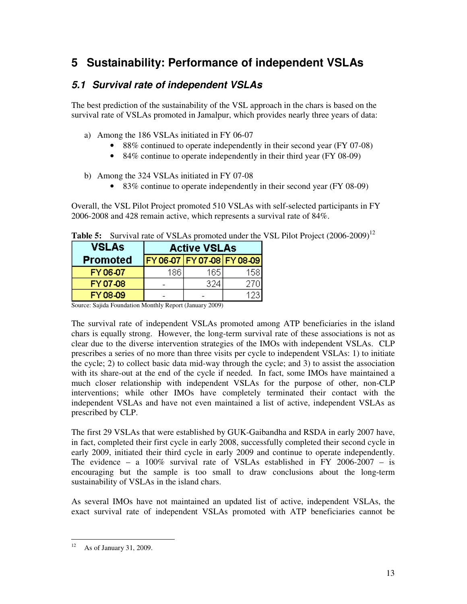# **5 Sustainability: Performance of independent VSLAs**

#### **5.1 Survival rate of independent VSLAs**

The best prediction of the sustainability of the VSL approach in the chars is based on the survival rate of VSLAs promoted in Jamalpur, which provides nearly three years of data:

- a) Among the 186 VSLAs initiated in FY 06-07
	- 88% continued to operate independently in their second year (FY 07-08)
	- 84% continue to operate independently in their third year (FY 08-09)
- b) Among the 324 VSLAs initiated in FY 07-08
	- 83% continue to operate independently in their second year (FY 08-09)

Overall, the VSL Pilot Project promoted 510 VSLAs with self-selected participants in FY 2006-2008 and 428 remain active, which represents a survival rate of 84%.

| <b>VSLAs</b>    | <b>Active VSLAs</b>            |      |      |  |
|-----------------|--------------------------------|------|------|--|
| <b>Promoted</b> | FY 06-07   FY 07-08   FY 08-09 |      |      |  |
| FY 06-07        | 186.                           | 165. | 1581 |  |
| FY 07-08        |                                | 324  |      |  |
| FY 08-09        |                                |      |      |  |

**Table 5:** Survival rate of VSLAs promoted under the VSL Pilot Project (2006-2009)<sup>12</sup>

Source: Sajida Foundation Monthly Report (January 2009)

The survival rate of independent VSLAs promoted among ATP beneficiaries in the island chars is equally strong. However, the long-term survival rate of these associations is not as clear due to the diverse intervention strategies of the IMOs with independent VSLAs. CLP prescribes a series of no more than three visits per cycle to independent VSLAs: 1) to initiate the cycle; 2) to collect basic data mid-way through the cycle; and 3) to assist the association with its share-out at the end of the cycle if needed. In fact, some IMOs have maintained a much closer relationship with independent VSLAs for the purpose of other, non-CLP interventions; while other IMOs have completely terminated their contact with the independent VSLAs and have not even maintained a list of active, independent VSLAs as prescribed by CLP.

The first 29 VSLAs that were established by GUK-Gaibandha and RSDA in early 2007 have, in fact, completed their first cycle in early 2008, successfully completed their second cycle in early 2009, initiated their third cycle in early 2009 and continue to operate independently. The evidence – a  $100\%$  survival rate of VSLAs established in FY 2006-2007 – is encouraging but the sample is too small to draw conclusions about the long-term sustainability of VSLAs in the island chars.

As several IMOs have not maintained an updated list of active, independent VSLAs, the exact survival rate of independent VSLAs promoted with ATP beneficiaries cannot be

 $12$ As of January 31, 2009.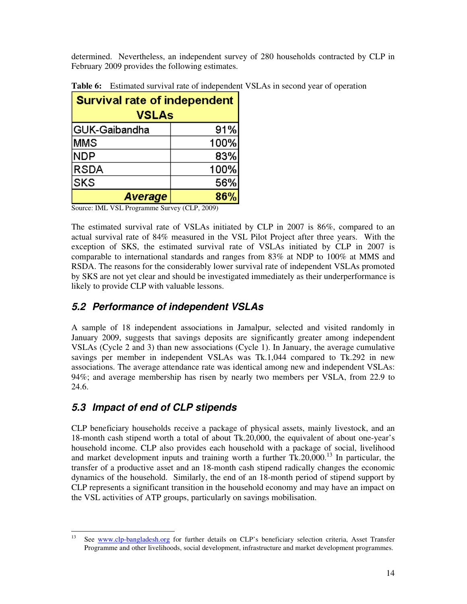determined. Nevertheless, an independent survey of 280 households contracted by CLP in February 2009 provides the following estimates.

| <b>Survival rate of independent</b><br><b>VSLAs</b> |      |  |
|-----------------------------------------------------|------|--|
| GUK-Gaibandha                                       | 91%  |  |
| lMMS.                                               | 100% |  |
| <b>NDP</b>                                          | 83%  |  |
| <b>RSDA</b>                                         | 100% |  |
| <b>SKS</b>                                          | 56%  |  |
| 86%<br>Average                                      |      |  |

**Table 6:** Estimated survival rate of independent VSLAs in second year of operation

Source: IML VSL Programme Survey (CLP, 2009)

The estimated survival rate of VSLAs initiated by CLP in 2007 is 86%, compared to an actual survival rate of 84% measured in the VSL Pilot Project after three years. With the exception of SKS, the estimated survival rate of VSLAs initiated by CLP in 2007 is comparable to international standards and ranges from 83% at NDP to 100% at MMS and RSDA. The reasons for the considerably lower survival rate of independent VSLAs promoted by SKS are not yet clear and should be investigated immediately as their underperformance is likely to provide CLP with valuable lessons.

### **5.2 Performance of independent VSLAs**

A sample of 18 independent associations in Jamalpur, selected and visited randomly in January 2009, suggests that savings deposits are significantly greater among independent VSLAs (Cycle 2 and 3) than new associations (Cycle 1). In January, the average cumulative savings per member in independent VSLAs was Tk.1,044 compared to Tk.292 in new associations. The average attendance rate was identical among new and independent VSLAs: 94%; and average membership has risen by nearly two members per VSLA, from 22.9 to 24.6.

### **5.3 Impact of end of CLP stipends**

CLP beneficiary households receive a package of physical assets, mainly livestock, and an 18-month cash stipend worth a total of about Tk.20,000, the equivalent of about one-year's household income. CLP also provides each household with a package of social, livelihood and market development inputs and training worth a further  $Tk.20,000$ .<sup>13</sup> In particular, the transfer of a productive asset and an 18-month cash stipend radically changes the economic dynamics of the household. Similarly, the end of an 18-month period of stipend support by CLP represents a significant transition in the household economy and may have an impact on the VSL activities of ATP groups, particularly on savings mobilisation.

<sup>13</sup> See www.clp-bangladesh.org for further details on CLP's beneficiary selection criteria, Asset Transfer Programme and other livelihoods, social development, infrastructure and market development programmes.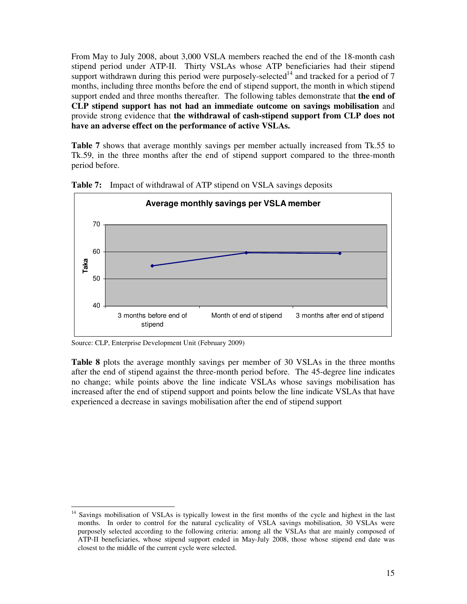From May to July 2008, about 3,000 VSLA members reached the end of the 18-month cash stipend period under ATP-II. Thirty VSLAs whose ATP beneficiaries had their stipend support withdrawn during this period were purposely-selected<sup>14</sup> and tracked for a period of 7 months, including three months before the end of stipend support, the month in which stipend support ended and three months thereafter. The following tables demonstrate that **the end of CLP stipend support has not had an immediate outcome on savings mobilisation** and provide strong evidence that **the withdrawal of cash-stipend support from CLP does not have an adverse effect on the performance of active VSLAs.**

**Table 7** shows that average monthly savings per member actually increased from Tk.55 to Tk.59, in the three months after the end of stipend support compared to the three-month period before.



**Table 7:** Impact of withdrawal of ATP stipend on VSLA savings deposits

Source: CLP, Enterprise Development Unit (February 2009)

**Table 8** plots the average monthly savings per member of 30 VSLAs in the three months after the end of stipend against the three-month period before. The 45-degree line indicates no change; while points above the line indicate VSLAs whose savings mobilisation has increased after the end of stipend support and points below the line indicate VSLAs that have experienced a decrease in savings mobilisation after the end of stipend support

<sup>-</sup><sup>14</sup> Savings mobilisation of VSLAs is typically lowest in the first months of the cycle and highest in the last months. In order to control for the natural cyclicality of VSLA savings mobilisation, 30 VSLAs were purposely selected according to the following criteria: among all the VSLAs that are mainly composed of ATP-II beneficiaries, whose stipend support ended in May-July 2008, those whose stipend end date was closest to the middle of the current cycle were selected.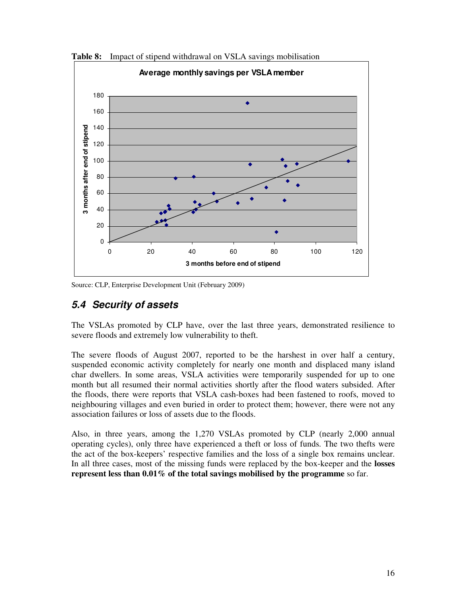

**Table 8:** Impact of stipend withdrawal on VSLA savings mobilisation

Source: CLP, Enterprise Development Unit (February 2009)

#### **5.4 Security of assets**

The VSLAs promoted by CLP have, over the last three years, demonstrated resilience to severe floods and extremely low vulnerability to theft.

The severe floods of August 2007, reported to be the harshest in over half a century, suspended economic activity completely for nearly one month and displaced many island char dwellers. In some areas, VSLA activities were temporarily suspended for up to one month but all resumed their normal activities shortly after the flood waters subsided. After the floods, there were reports that VSLA cash-boxes had been fastened to roofs, moved to neighbouring villages and even buried in order to protect them; however, there were not any association failures or loss of assets due to the floods.

Also, in three years, among the 1,270 VSLAs promoted by CLP (nearly 2,000 annual operating cycles), only three have experienced a theft or loss of funds. The two thefts were the act of the box-keepers' respective families and the loss of a single box remains unclear. In all three cases, most of the missing funds were replaced by the box-keeper and the **losses represent less than 0.01% of the total savings mobilised by the programme** so far.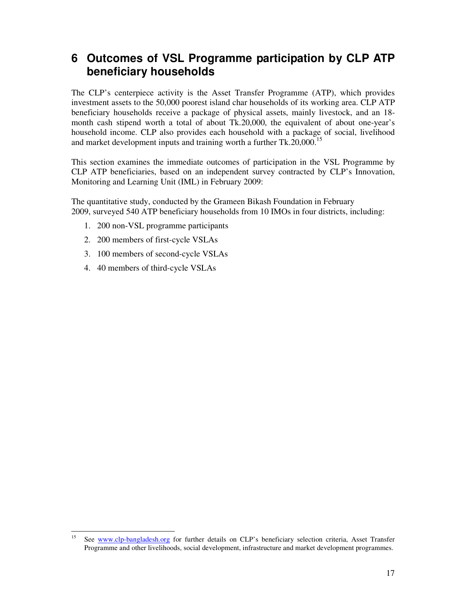## **6 Outcomes of VSL Programme participation by CLP ATP beneficiary households**

The CLP's centerpiece activity is the Asset Transfer Programme (ATP), which provides investment assets to the 50,000 poorest island char households of its working area. CLP ATP beneficiary households receive a package of physical assets, mainly livestock, and an 18 month cash stipend worth a total of about Tk.20,000, the equivalent of about one-year's household income. CLP also provides each household with a package of social, livelihood and market development inputs and training worth a further Tk.20,000.<sup>15</sup>

This section examines the immediate outcomes of participation in the VSL Programme by CLP ATP beneficiaries, based on an independent survey contracted by CLP's Innovation, Monitoring and Learning Unit (IML) in February 2009:

The quantitative study, conducted by the Grameen Bikash Foundation in February 2009, surveyed 540 ATP beneficiary households from 10 IMOs in four districts, including:

- 1. 200 non-VSL programme participants
- 2. 200 members of first-cycle VSLAs
- 3. 100 members of second-cycle VSLAs
- 4. 40 members of third-cycle VSLAs

<sup>15</sup> See www.clp-bangladesh.org for further details on CLP's beneficiary selection criteria, Asset Transfer Programme and other livelihoods, social development, infrastructure and market development programmes.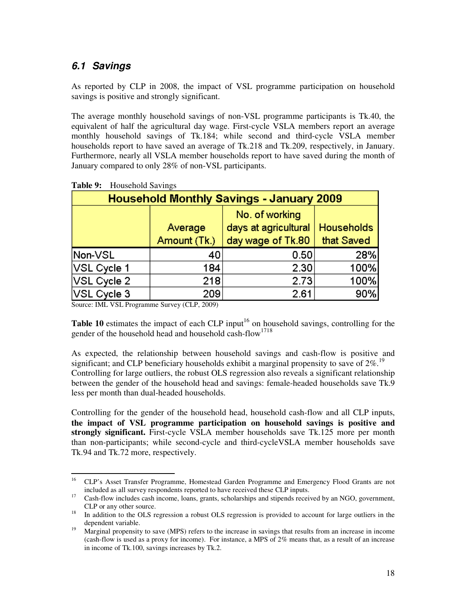#### **6.1 Savings**

As reported by CLP in 2008, the impact of VSL programme participation on household savings is positive and strongly significant.

The average monthly household savings of non-VSL programme participants is Tk.40, the equivalent of half the agricultural day wage. First-cycle VSLA members report an average monthly household savings of Tk.184; while second and third-cycle VSLA member households report to have saved an average of Tk.218 and Tk.209, respectively, in January. Furthermore, nearly all VSLA member households report to have saved during the month of January compared to only 28% of non-VSL participants.

| <b>Household Monthly Savings - January 2009</b> |              |                      |                   |  |  |
|-------------------------------------------------|--------------|----------------------|-------------------|--|--|
|                                                 |              | No. of working       |                   |  |  |
|                                                 | Average      | days at agricultural | <b>Households</b> |  |  |
|                                                 | Amount (Tk.) | day wage of Tk.80    | that Saved        |  |  |
| Non-VSL                                         | 40           | 0.50                 | 28%               |  |  |
| VSL Cycle 1                                     | 184          | 2.30                 | 100%              |  |  |
| VSL Cycle 2                                     | 218          | 2.73                 | 100%              |  |  |
| VSL Cycle 3                                     | 209          | 2.61                 | 90%               |  |  |

**Table 9:** Household Savings

Source: IML VSL Programme Survey (CLP, 2009)

**Table 10** estimates the impact of each CLP input<sup>16</sup> on household savings, controlling for the gender of the household head and household cash-flow<sup>1718</sup>

As expected, the relationship between household savings and cash-flow is positive and significant; and CLP beneficiary households exhibit a marginal propensity to save of  $2\%$ .<sup>19</sup> Controlling for large outliers, the robust OLS regression also reveals a significant relationship between the gender of the household head and savings: female-headed households save Tk.9 less per month than dual-headed households.

Controlling for the gender of the household head, household cash-flow and all CLP inputs, **the impact of VSL programme participation on household savings is positive and strongly significant.** First-cycle VSLA member households save Tk.125 more per month than non-participants; while second-cycle and third-cycleVSLA member households save Tk.94 and Tk.72 more, respectively.

<sup>16</sup> <sup>16</sup> CLP's Asset Transfer Programme, Homestead Garden Programme and Emergency Flood Grants are not included as all survey respondents reported to have received these CLP inputs.

<sup>&</sup>lt;sup>17</sup> Cash-flow includes cash income, loans, grants, scholarships and stipends received by an NGO, government, CLP or any other source.

<sup>&</sup>lt;sup>18</sup> In addition to the OLS regression a robust OLS regression is provided to account for large outliers in the dependent variable.

<sup>&</sup>lt;sup>19</sup> Marginal propensity to save (MPS) refers to the increase in savings that results from an increase in income (cash-flow is used as a proxy for income). For instance, a MPS of 2% means that, as a result of an increase in income of Tk.100, savings increases by Tk.2.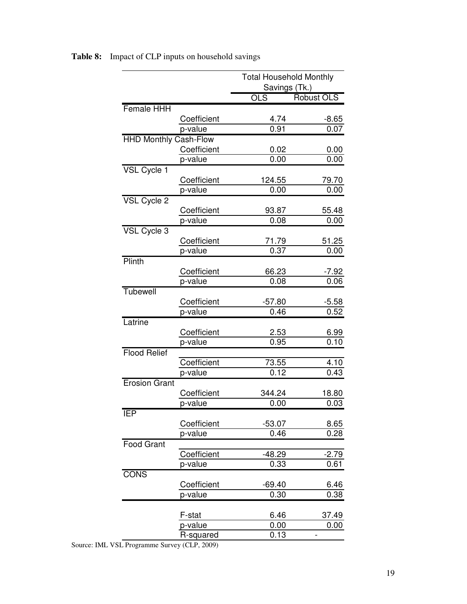|                              |             | <b>Total Household Monthly</b><br>Savings (Tk.) |                   |
|------------------------------|-------------|-------------------------------------------------|-------------------|
|                              |             | OLS                                             | <b>Robust OLS</b> |
| <b>Female HHH</b>            |             |                                                 |                   |
|                              | Coefficient | 4.74                                            | $-8.65$           |
|                              | p-value     | 0.91                                            | 0.07              |
| <b>HHD Monthly Cash-Flow</b> |             |                                                 |                   |
|                              | Coefficient | 0.02                                            | 0.00              |
|                              | p-value     | 0.00                                            | 0.00              |
| VSL Cycle 1                  |             |                                                 |                   |
|                              | Coefficient | 124.55                                          | 79.70             |
|                              | p-value     | 0.00                                            | 0.00              |
| VSL Cycle 2                  |             |                                                 |                   |
|                              | Coefficient | 93.87                                           | 55.48             |
|                              | p-value     | 0.08                                            | 0.00              |
| VSL Cycle 3                  |             |                                                 |                   |
|                              | Coefficient | 71.79                                           | 51.25             |
|                              | p-value     | 0.37                                            | 0.00              |
| Plinth                       |             |                                                 |                   |
|                              | Coefficient | 66.23                                           | <u>-7.92</u>      |
|                              | p-value     | 0.08                                            | 0.06              |
| Tubewell                     |             |                                                 |                   |
|                              | Coefficient | $-57.80$                                        | $-5.58$           |
|                              | p-value     | 0.46                                            | 0.52              |
| Latrine                      |             |                                                 |                   |
|                              | Coefficient | 2.53                                            | <u>6.99</u>       |
|                              | p-value     | 0.95                                            | 0.10              |
| <b>Flood Relief</b>          |             |                                                 |                   |
|                              | Coefficient | 73.55                                           | 4.10              |
|                              | p-value     | 0.12                                            | 0.43              |
| <b>Erosion Grant</b>         |             |                                                 |                   |
|                              | Coefficient | 344.24                                          | 18.80             |
|                              | p-value     | 0.00                                            | 0.03              |
| IEP                          |             |                                                 |                   |
|                              | Coefficient | $-53.07$                                        | 8.65              |
|                              | p-value     | 0.46                                            | 0.28              |
| <b>Food Grant</b>            |             |                                                 |                   |
|                              | Coefficient | $-48.29$                                        | $-2.79$           |
|                              | p-value     | 0.33                                            | 0.61              |
| <b>CONS</b>                  |             |                                                 |                   |
|                              | Coefficient | $-69.40$                                        | 6.46              |
|                              | p-value     | 0.30                                            | 0.38              |
|                              |             |                                                 |                   |
|                              | F-stat      | 6.46                                            | 37.49             |
|                              | p-value     | 0.00                                            | 0.00              |
|                              | R-squared   | 0.13                                            |                   |

**Table 8:** Impact of CLP inputs on household savings

Source: IML VSL Programme Survey (CLP, 2009)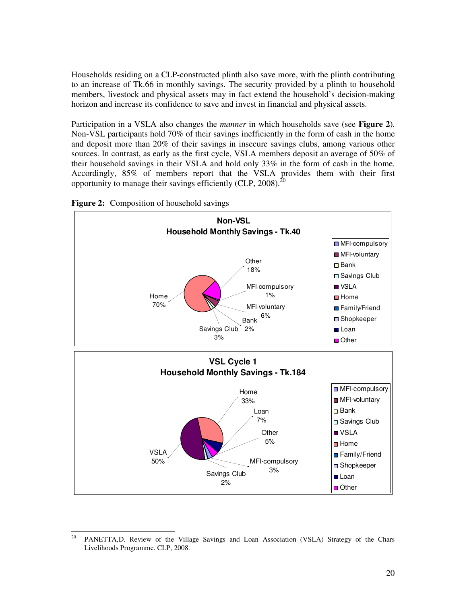Households residing on a CLP-constructed plinth also save more, with the plinth contributing to an increase of Tk.66 in monthly savings. The security provided by a plinth to household members, livestock and physical assets may in fact extend the household's decision-making horizon and increase its confidence to save and invest in financial and physical assets.

Participation in a VSLA also changes the *manner* in which households save (see **Figure 2**). Non-VSL participants hold 70% of their savings inefficiently in the form of cash in the home and deposit more than 20% of their savings in insecure savings clubs, among various other sources. In contrast, as early as the first cycle, VSLA members deposit an average of 50% of their household savings in their VSLA and hold only 33% in the form of cash in the home. Accordingly, 85% of members report that the VSLA provides them with their first opportunity to manage their savings efficiently (CLP, 2008).<sup>20</sup>



**Figure 2:** Composition of household savings

<sup>20</sup> PANETTA,D. Review of the Village Savings and Loan Association (VSLA) Strategy of the Chars Livelihoods Programme. CLP, 2008.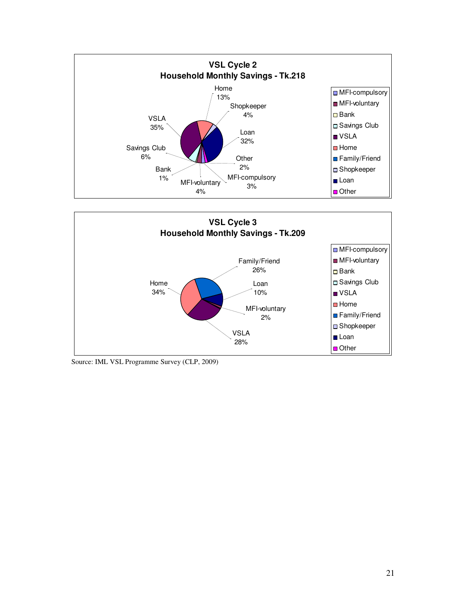



Source: IML VSL Programme Survey (CLP, 2009)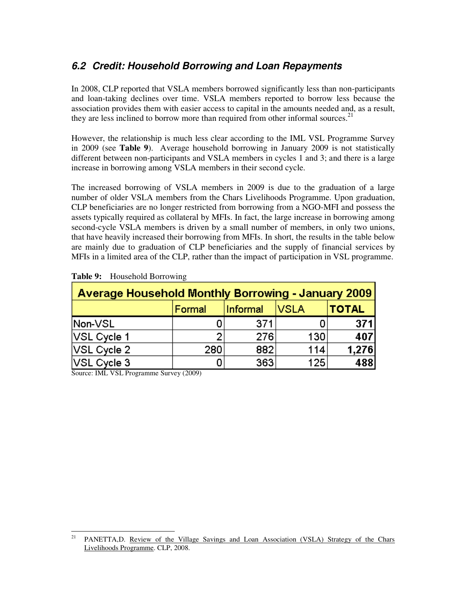### **6.2 Credit: Household Borrowing and Loan Repayments**

In 2008, CLP reported that VSLA members borrowed significantly less than non-participants and loan-taking declines over time. VSLA members reported to borrow less because the association provides them with easier access to capital in the amounts needed and, as a result, they are less inclined to borrow more than required from other informal sources.<sup>21</sup>

However, the relationship is much less clear according to the IML VSL Programme Survey in 2009 (see **Table 9**). Average household borrowing in January 2009 is not statistically different between non-participants and VSLA members in cycles 1 and 3; and there is a large increase in borrowing among VSLA members in their second cycle.

The increased borrowing of VSLA members in 2009 is due to the graduation of a large number of older VSLA members from the Chars Livelihoods Programme. Upon graduation, CLP beneficiaries are no longer restricted from borrowing from a NGO-MFI and possess the assets typically required as collateral by MFIs. In fact, the large increase in borrowing among second-cycle VSLA members is driven by a small number of members, in only two unions, that have heavily increased their borrowing from MFIs. In short, the results in the table below are mainly due to graduation of CLP beneficiaries and the supply of financial services by MFIs in a limited area of the CLP, rather than the impact of participation in VSL programme.

| Average Household Monthly Borrowing - January 2009 |        |                 |             |              |  |
|----------------------------------------------------|--------|-----------------|-------------|--------------|--|
|                                                    | Formal | <b>Informal</b> | <b>VSLA</b> | <b>TOTAL</b> |  |
| Non-VSL                                            |        | 371             |             | 371          |  |
| VSL Cycle 1                                        |        | 276             | 130         | 407          |  |
| $\sqrt{\text{S}}$ L Cycle 2                        | 280    | 882             | 114         | 1,276        |  |
| $\sqrt{\text{S}}$ L Cycle 3                        |        | 363             | 125         | 488          |  |

| Table 9: | <b>Household Borrowing</b> |
|----------|----------------------------|
|----------|----------------------------|

Source: IML VSL Programme Survey (2009)

<sup>21</sup> <sup>21</sup> PANETTA,D. Review of the Village Savings and Loan Association (VSLA) Strategy of the Chars Livelihoods Programme. CLP, 2008.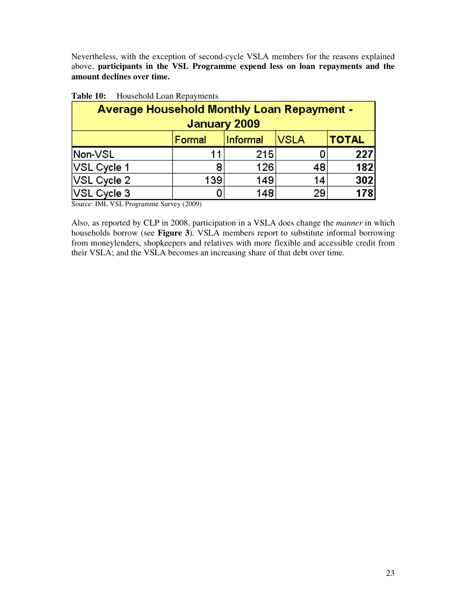Nevertheless, with the exception of second-cycle VSLA members for the reasons explained above, **participants in the VSL Programme expend less on loan repayments and the amount declines over time.** 

| <b>Average Household Monthly Loan Repayment -</b> |        |                                  |    |     |  |  |  |
|---------------------------------------------------|--------|----------------------------------|----|-----|--|--|--|
| January 2009                                      |        |                                  |    |     |  |  |  |
|                                                   | Formal | <b>TOTAL</b><br>VSLA<br>Informal |    |     |  |  |  |
| Non-VSL                                           | า 1    | 215                              |    | 227 |  |  |  |
| VSL Cycle 1                                       | 8      | 126                              | 48 | 182 |  |  |  |
| VSL Cycle 2                                       | 139    | 149                              | 14 | 302 |  |  |  |
| VSL Cycle 3                                       |        | 148                              | 29 | 178 |  |  |  |

| Table 10: | Household Loan Repayments |
|-----------|---------------------------|
|-----------|---------------------------|

Source: IML VSL Programme Survey (2009)

Also, as reported by CLP in 2008, participation in a VSLA does change the *manner* in which households borrow (see **Figure 3**). VSLA members report to substitute informal borrowing from moneylenders, shopkeepers and relatives with more flexible and accessible credit from their VSLA; and the VSLA becomes an increasing share of that debt over time.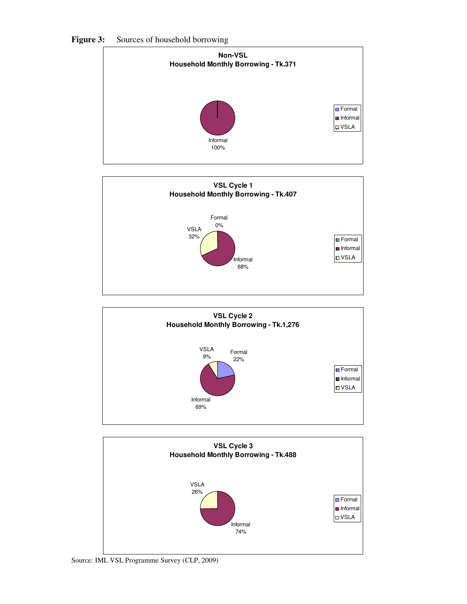

Figure 3: Sources of household borrowing







Source: IML VSL Programme Survey (CLP, 2009)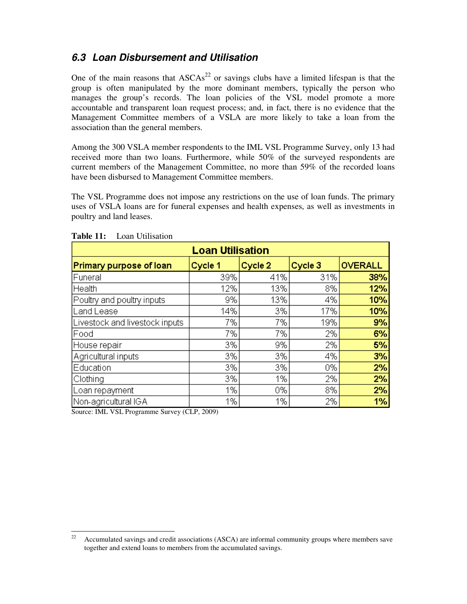### **6.3 Loan Disbursement and Utilisation**

One of the main reasons that  $ASCAs<sup>22</sup>$  or savings clubs have a limited lifespan is that the group is often manipulated by the more dominant members, typically the person who manages the group's records. The loan policies of the VSL model promote a more accountable and transparent loan request process; and, in fact, there is no evidence that the Management Committee members of a VSLA are more likely to take a loan from the association than the general members.

Among the 300 VSLA member respondents to the IML VSL Programme Survey, only 13 had received more than two loans. Furthermore, while 50% of the surveyed respondents are current members of the Management Committee, no more than 59% of the recorded loans have been disbursed to Management Committee members.

The VSL Programme does not impose any restrictions on the use of loan funds. The primary uses of VSLA loans are for funeral expenses and health expenses, as well as investments in poultry and land leases.

| <b>Loan Utilisation</b>        |         |         |         |                |  |
|--------------------------------|---------|---------|---------|----------------|--|
| Primary purpose of loan        | Cycle 1 | Cycle 2 | Cycle 3 | <b>OVERALL</b> |  |
| Funeral                        | 39%     | 41%     | 31%     | 38%            |  |
| Health                         | 12%     | 13%     | 8%      | 12%            |  |
| Poultry and poultry inputs     | 9%      | 13%     | 4%      | 10%            |  |
| Land Lease                     | 14%     | 3%      | 17%     | 10%            |  |
| Livestock and livestock inputs | 7%      | 7%      | 19%     | 9%             |  |
| Food                           | 7%      | 7%      | 2%      | 6%             |  |
| House repair                   | 3%      | 9%      | 2%      | 5%             |  |
| Agricultural inputs            | 3%      | 3%      | 4%      | 3%             |  |
| Education                      | 3%      | 3%      | 0%      | 2%             |  |
| Clothing                       | 3%      | 1%      | 2%      | 2%             |  |
| Loan repayment                 | 1%      | 0%      | 8%      | 2%             |  |
| Non-agricultural IGA           | 1%      | 1%      | 2%      | 1%             |  |

| Table 11: | Loan Utilisation |
|-----------|------------------|
|-----------|------------------|

Source: IML VSL Programme Survey (CLP, 2009)

<sup>22</sup> Accumulated savings and credit associations (ASCA) are informal community groups where members save together and extend loans to members from the accumulated savings.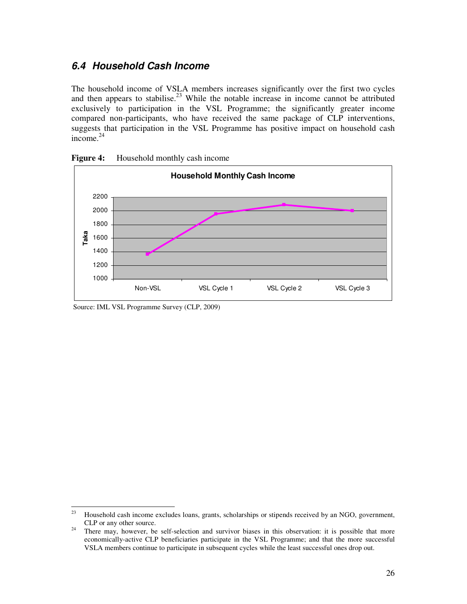#### **6.4 Household Cash Income**

The household income of VSLA members increases significantly over the first two cycles and then appears to stabilise.<sup>23</sup> While the notable increase in income cannot be attributed exclusively to participation in the VSL Programme; the significantly greater income compared non-participants, who have received the same package of CLP interventions, suggests that participation in the VSL Programme has positive impact on household cash  $income.<sup>24</sup>$ 





Source: IML VSL Programme Survey (CLP, 2009)

<sup>23</sup> Household cash income excludes loans, grants, scholarships or stipends received by an NGO, government, CLP or any other source.

<sup>&</sup>lt;sup>24</sup> There may, however, be self-selection and survivor biases in this observation: it is possible that more economically-active CLP beneficiaries participate in the VSL Programme; and that the more successful VSLA members continue to participate in subsequent cycles while the least successful ones drop out.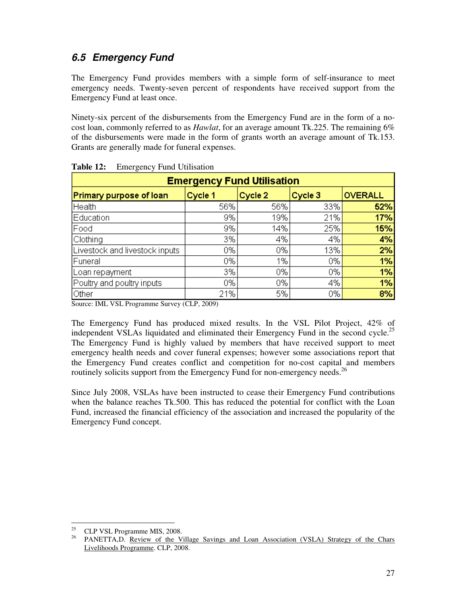### **6.5 Emergency Fund**

The Emergency Fund provides members with a simple form of self-insurance to meet emergency needs. Twenty-seven percent of respondents have received support from the Emergency Fund at least once.

Ninety-six percent of the disbursements from the Emergency Fund are in the form of a nocost loan, commonly referred to as *Hawlat*, for an average amount Tk.225. The remaining 6% of the disbursements were made in the form of grants worth an average amount of Tk.153. Grants are generally made for funeral expenses.

| $\circ$<br><b>Emergency Fund Utilisation</b> |         |         |         |                |  |
|----------------------------------------------|---------|---------|---------|----------------|--|
| Primary purpose of loan                      | Cycle 1 | Cycle 2 | Cycle 3 | <b>OVERALL</b> |  |
| Health                                       | 56%     | 56%     | 33%     | 52%            |  |
| Education                                    | 9%      | 19%     | 21%     | 17%            |  |
| Food                                         | 9%      | 14%     | 25%     | 15%            |  |
| Clothing                                     | 3%      | 4%      | 4%      | 4%             |  |
| Livestock and livestock inputs               | 0%      | 0%      | 13%     | 2%             |  |
| Funeral                                      | 0%      | 1%      | 0%      | 1%             |  |
| Loan repayment                               | 3%      | 0%      | 0%      | 1%             |  |
| Poultry and poultry inputs                   | 0%      | 0%      | 4%      | 1%             |  |
| Other                                        | 21%     | 5%      | 0%      | 8%             |  |

| Table 12: | <b>Emergency Fund Utilisation</b> |  |  |
|-----------|-----------------------------------|--|--|
|-----------|-----------------------------------|--|--|

Source: IML VSL Programme Survey (CLP, 2009)

The Emergency Fund has produced mixed results. In the VSL Pilot Project, 42% of independent VSLAs liquidated and eliminated their Emergency Fund in the second cycle.<sup>25</sup> The Emergency Fund is highly valued by members that have received support to meet emergency health needs and cover funeral expenses; however some associations report that the Emergency Fund creates conflict and competition for no-cost capital and members routinely solicits support from the Emergency Fund for non-emergency needs.<sup>26</sup>

Since July 2008, VSLAs have been instructed to cease their Emergency Fund contributions when the balance reaches Tk.500. This has reduced the potential for conflict with the Loan Fund, increased the financial efficiency of the association and increased the popularity of the Emergency Fund concept.

 $25$ CLP VSL Programme MIS, 2008.

<sup>&</sup>lt;sup>26</sup> PANETTA,D. Review of the Village Savings and Loan Association (VSLA) Strategy of the Chars Livelihoods Programme. CLP, 2008.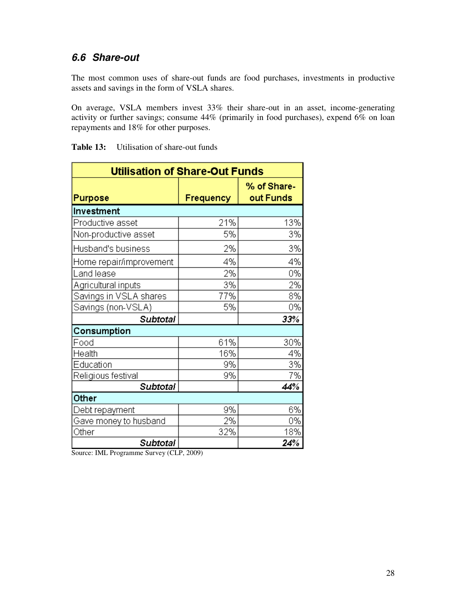### **6.6 Share-out**

The most common uses of share-out funds are food purchases, investments in productive assets and savings in the form of VSLA shares.

On average, VSLA members invest 33% their share-out in an asset, income-generating activity or further savings; consume 44% (primarily in food purchases), expend 6% on loan repayments and 18% for other purposes.

| <b>Utilisation of Share-Out Funds</b> |           |                          |  |  |
|---------------------------------------|-----------|--------------------------|--|--|
| Purpose                               | Frequency | % of Share-<br>out Funds |  |  |
| Investment                            |           |                          |  |  |
| Productive asset                      | 21%       | 13%                      |  |  |
| Non-productive asset                  | 5%        | 3%                       |  |  |
| Husband's business                    | 2%        | 3%                       |  |  |
| Home repair/improvement               | 4%        | 4%                       |  |  |
| Land lease                            | 2%        | 0%                       |  |  |
| Agricultural inputs                   | 3%        | 2%                       |  |  |
| Savings in VSLA shares                | 77%       | 8%                       |  |  |
| Savings (non-VSLA)                    | 5%        | 0%                       |  |  |
| <b>Subtotal</b>                       |           | 33%                      |  |  |
| Consumption                           |           |                          |  |  |
| Food                                  | 61%       | 30%                      |  |  |
| Health                                | 16%       | 4%                       |  |  |
| Education                             | 9%        | 3%                       |  |  |
| Religious festival                    | 9%        | 7%                       |  |  |
| <b>Subtotal</b>                       |           | 44%                      |  |  |
| Other                                 |           |                          |  |  |
| Debt repayment                        | 9%        | 6%                       |  |  |
| Gave money to husband                 | 2%        | 0%                       |  |  |
| Other                                 | 32%       | 18%                      |  |  |
| <b>Subtotal</b>                       |           | 24%                      |  |  |

**Table 13:** Utilisation of share-out funds

Source: IML Programme Survey (CLP, 2009)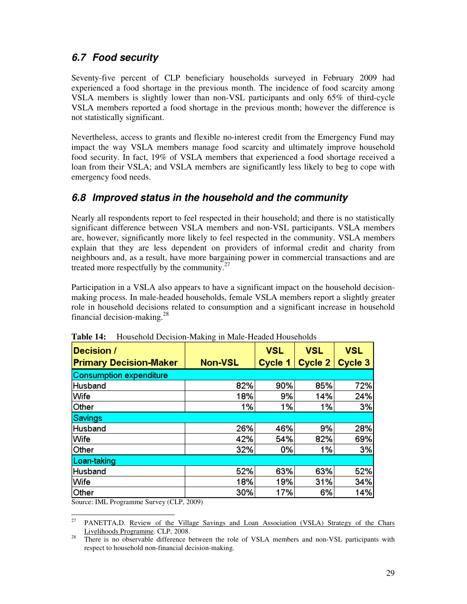### **6.7 Food security**

Seventy-five percent of CLP beneficiary households surveyed in February 2009 had experienced a food shortage in the previous month. The incidence of food scarcity among VSLA members is slightly lower than non-VSL participants and only 65% of third-cycle VSLA members reported a food shortage in the previous month; however the difference is not statistically significant.

Nevertheless, access to grants and flexible no-interest credit from the Emergency Fund may impact the way VSLA members manage food scarcity and ultimately improve household food security. In fact, 19% of VSLA members that experienced a food shortage received a loan from their VSLA; and VSLA members are significantly less likely to beg to cope with emergency food needs.

### **6.8 Improved status in the household and the community**

Nearly all respondents report to feel respected in their household; and there is no statistically significant difference between VSLA members and non-VSL participants. VSLA members are, however, significantly more likely to feel respected in the community. VSLA members explain that they are less dependent on providers of informal credit and charity from neighbours and, as a result, have more bargaining power in commercial transactions and are treated more respectfully by the community. $27$ 

Participation in a VSLA also appears to have a significant impact on the household decisionmaking process. In male-headed households, female VSLA members report a slightly greater role in household decisions related to consumption and a significant increase in household financial decision-making. $^{28}$ 

| Decision /<br><b>Primary Decision-Maker</b> | <b>Non-VSL</b> | <b>VSL</b><br>Cycle 1 | <b>VSL</b><br>Cycle 2 | <b>VSL</b><br>Cycle 3 |
|---------------------------------------------|----------------|-----------------------|-----------------------|-----------------------|
| <b>Consumption expenditure</b>              |                |                       |                       |                       |
| <b>Husband</b>                              | 82%            | 90%                   | 85%                   | 72%                   |
| Wife                                        | 18%            | 9%                    | 14%                   | 24%                   |
| ∣Other                                      | 1%             | 1%                    | 1%                    | 3%                    |
| <b>Savings</b>                              |                |                       |                       |                       |
| Husband                                     | 26%            | 46%                   | 9%                    | 28%                   |
| Wife                                        | 42%            | 54%                   | 82%                   | 69%                   |
| ∣Other                                      | 32%            | 0%                    | 1%                    | 3%                    |
| Loan-taking                                 |                |                       |                       |                       |
| Husband                                     | 52%            | 63%                   | 63%                   | 52%                   |
| Wife                                        | 18%            | 19%                   | 31%                   | 34%                   |
| Other                                       | 30%            | 17%                   | 6%                    | 14%                   |

**Table 14:** Household Decision-Making in Male-Headed Households

Source: IML Programme Survey (CLP, 2009)

<sup>27</sup> <sup>27</sup> PANETTA,D. Review of the Village Savings and Loan Association (VSLA) Strategy of the Chars Livelihoods Programme. CLP, 2008.

<sup>&</sup>lt;sup>28</sup> There is no observable difference between the role of VSLA members and non-VSL participants with respect to household non-financial decision-making.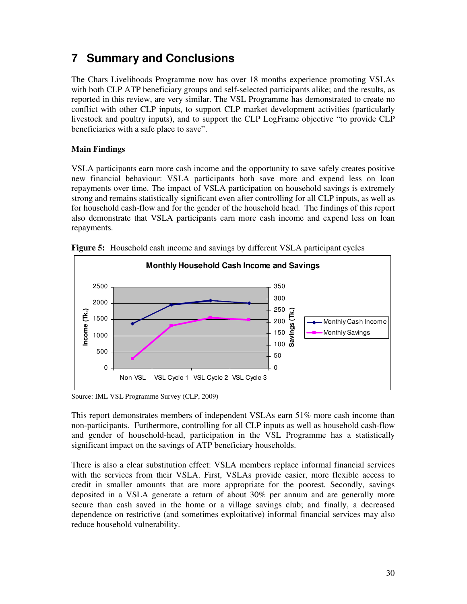# **7 Summary and Conclusions**

The Chars Livelihoods Programme now has over 18 months experience promoting VSLAs with both CLP ATP beneficiary groups and self-selected participants alike; and the results, as reported in this review, are very similar. The VSL Programme has demonstrated to create no conflict with other CLP inputs, to support CLP market development activities (particularly livestock and poultry inputs), and to support the CLP LogFrame objective "to provide CLP beneficiaries with a safe place to save".

#### **Main Findings**

VSLA participants earn more cash income and the opportunity to save safely creates positive new financial behaviour: VSLA participants both save more and expend less on loan repayments over time. The impact of VSLA participation on household savings is extremely strong and remains statistically significant even after controlling for all CLP inputs, as well as for household cash-flow and for the gender of the household head. The findings of this report also demonstrate that VSLA participants earn more cash income and expend less on loan repayments.



**Figure 5:** Household cash income and savings by different VSLA participant cycles

Source: IML VSL Programme Survey (CLP, 2009)

This report demonstrates members of independent VSLAs earn 51% more cash income than non-participants. Furthermore, controlling for all CLP inputs as well as household cash-flow and gender of household-head, participation in the VSL Programme has a statistically significant impact on the savings of ATP beneficiary households.

There is also a clear substitution effect: VSLA members replace informal financial services with the services from their VSLA. First, VSLAs provide easier, more flexible access to credit in smaller amounts that are more appropriate for the poorest. Secondly, savings deposited in a VSLA generate a return of about 30% per annum and are generally more secure than cash saved in the home or a village savings club; and finally, a decreased dependence on restrictive (and sometimes exploitative) informal financial services may also reduce household vulnerability.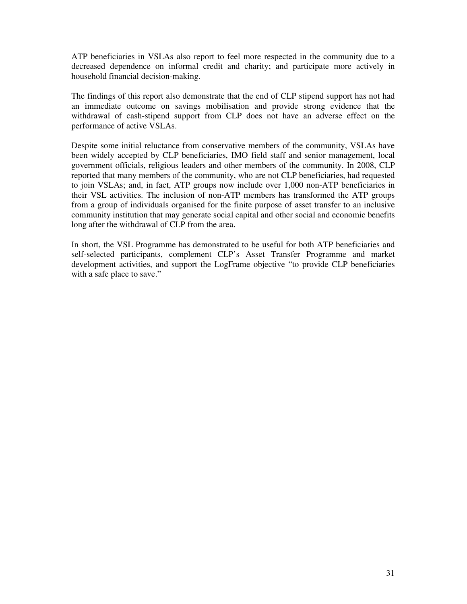ATP beneficiaries in VSLAs also report to feel more respected in the community due to a decreased dependence on informal credit and charity; and participate more actively in household financial decision-making.

The findings of this report also demonstrate that the end of CLP stipend support has not had an immediate outcome on savings mobilisation and provide strong evidence that the withdrawal of cash-stipend support from CLP does not have an adverse effect on the performance of active VSLAs.

Despite some initial reluctance from conservative members of the community, VSLAs have been widely accepted by CLP beneficiaries, IMO field staff and senior management, local government officials, religious leaders and other members of the community. In 2008, CLP reported that many members of the community, who are not CLP beneficiaries, had requested to join VSLAs; and, in fact, ATP groups now include over 1,000 non-ATP beneficiaries in their VSL activities. The inclusion of non-ATP members has transformed the ATP groups from a group of individuals organised for the finite purpose of asset transfer to an inclusive community institution that may generate social capital and other social and economic benefits long after the withdrawal of CLP from the area.

In short, the VSL Programme has demonstrated to be useful for both ATP beneficiaries and self-selected participants, complement CLP's Asset Transfer Programme and market development activities, and support the LogFrame objective "to provide CLP beneficiaries with a safe place to save."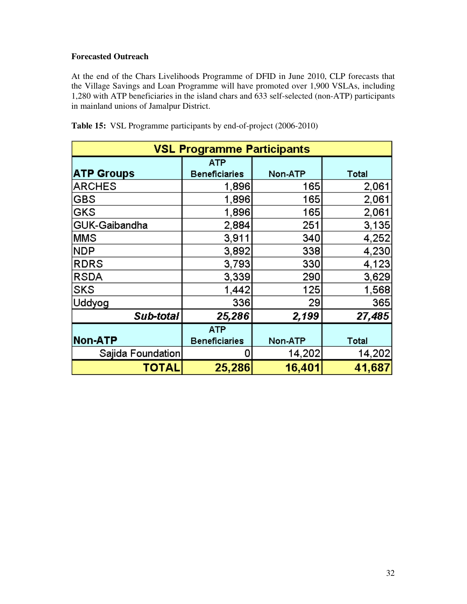#### **Forecasted Outreach**

At the end of the Chars Livelihoods Programme of DFID in June 2010, CLP forecasts that the Village Savings and Loan Programme will have promoted over 1,900 VSLAs, including 1,280 with ATP beneficiaries in the island chars and 633 self-selected (non-ATP) participants in mainland unions of Jamalpur District.

| <b>VSL Programme Participants</b> |                      |         |              |  |  |  |
|-----------------------------------|----------------------|---------|--------------|--|--|--|
| <b>ATP</b>                        |                      |         |              |  |  |  |
| <b>ATP Groups</b>                 | <b>Beneficiaries</b> | Non-ATP | <b>Total</b> |  |  |  |
| <b>ARCHES</b>                     | 1,896                | 165     | 2,061        |  |  |  |
| <b>GBS</b>                        | 1,896                | 165     | 2,061        |  |  |  |
| GKS                               | 1,896                | 165     | 2,061        |  |  |  |
| GUK-Gaibandha                     | 2,884                | 251     | 3,135        |  |  |  |
| MMS                               | 3,911                | 340     | 4,252        |  |  |  |
| NDP                               | 3,892                | 338     | 4,230        |  |  |  |
| <b>RDRS</b>                       | 3,793                | 330     | 4,123        |  |  |  |
| <b>RSDA</b>                       | 3,339                | 290     | 3,629        |  |  |  |
| <b>SKS</b>                        | 1,442                | 125     | 1,568        |  |  |  |
| Uddyog                            | 336                  | 29      | 365          |  |  |  |
| Sub-total                         | 25,286               | 2,199   | 27,485       |  |  |  |
|                                   | <b>ATP</b>           |         |              |  |  |  |
| Non-ATP                           | <b>Beneficiaries</b> | Non-ATP | <b>Total</b> |  |  |  |
| Sajida Foundation                 | 0                    | 14,202  | 14,202       |  |  |  |
| <b>TOTAL</b>                      | 25,286               | 16,401  | 41,687       |  |  |  |

**Table 15:** VSL Programme participants by end-of-project (2006-2010)